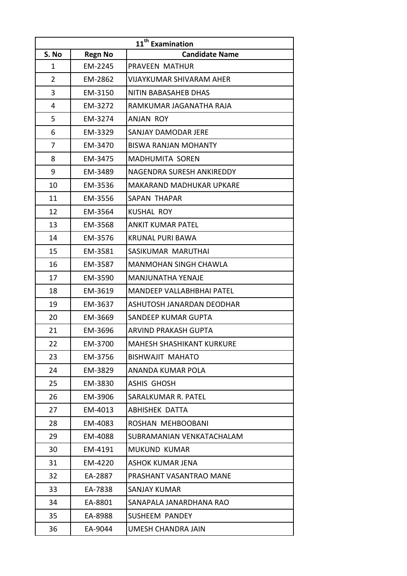| 11 <sup>th</sup> Examination |                |                                  |  |
|------------------------------|----------------|----------------------------------|--|
| S. No                        | <b>Regn No</b> | <b>Candidate Name</b>            |  |
| 1                            | EM-2245        | PRAVEEN MATHUR                   |  |
| $\overline{2}$               | EM-2862        | <b>VIJAYKUMAR SHIVARAM AHER</b>  |  |
| 3                            | EM-3150        | NITIN BABASAHEB DHAS             |  |
| 4                            | EM-3272        | RAMKUMAR JAGANATHA RAJA          |  |
| 5                            | EM-3274        | ANJAN ROY                        |  |
| 6                            | EM-3329        | SANJAY DAMODAR JERE              |  |
| 7                            | EM-3470        | <b>BISWA RANJAN MOHANTY</b>      |  |
| 8                            | EM-3475        | <b>MADHUMITA SOREN</b>           |  |
| 9                            | EM-3489        | NAGENDRA SURESH ANKIREDDY        |  |
| 10                           | EM-3536        | MAKARAND MADHUKAR UPKARE         |  |
| 11                           | EM-3556        | SAPAN THAPAR                     |  |
| 12                           | EM-3564        | <b>KUSHAL ROY</b>                |  |
| 13                           | EM-3568        | <b>ANKIT KUMAR PATEL</b>         |  |
| 14                           | EM-3576        | <b>KRUNAL PURI BAWA</b>          |  |
| 15                           | EM-3581        | SASIKUMAR MARUTHAI               |  |
| 16                           | EM-3587        | <b>MANMOHAN SINGH CHAWLA</b>     |  |
| 17                           | EM-3590        | <b>MANJUNATHA YENAJE</b>         |  |
| 18                           | EM-3619        | <b>MANDEEP VALLABHBHAI PATEL</b> |  |
| 19                           | EM-3637        | ASHUTOSH JANARDAN DEODHAR        |  |
| 20                           | EM-3669        | SANDEEP KUMAR GUPTA              |  |
| 21                           | EM-3696        | ARVIND PRAKASH GUPTA             |  |
| 22                           | EM-3700        | MAHESH SHASHIKANT KURKURE        |  |
| 23                           | EM-3756        | BISHWAJIT MAHATO                 |  |
| 24                           | EM-3829        | ANANDA KUMAR POLA                |  |
| 25                           | EM-3830        | <b>ASHIS GHOSH</b>               |  |
| 26                           | EM-3906        | SARALKUMAR R. PATEL              |  |
| 27                           | EM-4013        | <b>ABHISHEK DATTA</b>            |  |
| 28                           | EM-4083        | ROSHAN MEHBOOBANI                |  |
| 29                           | EM-4088        | SUBRAMANIAN VENKATACHALAM        |  |
| 30                           | EM-4191        | MUKUND KUMAR                     |  |
| 31                           | EM-4220        | ASHOK KUMAR JENA                 |  |
| 32                           | EA-2887        | PRASHANT VASANTRAO MANE          |  |
| 33                           | EA-7838        | <b>SANJAY KUMAR</b>              |  |
| 34                           | EA-8801        | SANAPALA JANARDHANA RAO          |  |
| 35                           | EA-8988        | <b>SUSHEEM PANDEY</b>            |  |
| 36                           | EA-9044        | UMESH CHANDRA JAIN               |  |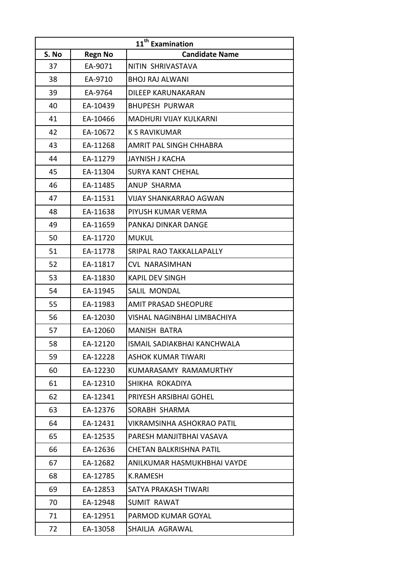| 11 <sup>th</sup> Examination |                |                                   |  |
|------------------------------|----------------|-----------------------------------|--|
| S. No                        | <b>Regn No</b> | <b>Candidate Name</b>             |  |
| 37                           | EA-9071        | NITIN SHRIVASTAVA                 |  |
| 38                           | EA-9710        | <b>BHOJ RAJ ALWANI</b>            |  |
| 39                           | EA-9764        | DILEEP KARUNAKARAN                |  |
| 40                           | EA-10439       | <b>BHUPESH PURWAR</b>             |  |
| 41                           | EA-10466       | MADHURI VIJAY KULKARNI            |  |
| 42                           | EA-10672       | <b>K S RAVIKUMAR</b>              |  |
| 43                           | EA-11268       | AMRIT PAL SINGH CHHABRA           |  |
| 44                           | EA-11279       | JAYNISH J KACHA                   |  |
| 45                           | EA-11304       | <b>SURYA KANT CHEHAL</b>          |  |
| 46                           | EA-11485       | ANUP SHARMA                       |  |
| 47                           | EA-11531       | <b>VIJAY SHANKARRAO AGWAN</b>     |  |
| 48                           | EA-11638       | PIYUSH KUMAR VERMA                |  |
| 49                           | EA-11659       | PANKAJ DINKAR DANGE               |  |
| 50                           | EA-11720       | <b>MUKUL</b>                      |  |
| 51                           | EA-11778       | SRIPAL RAO TAKKALLAPALLY          |  |
| 52                           | EA-11817       | <b>CVL NARASIMHAN</b>             |  |
| 53                           | EA-11830       | <b>KAPIL DEV SINGH</b>            |  |
| 54                           | EA-11945       | SALIL MONDAL                      |  |
| 55                           | EA-11983       | <b>AMIT PRASAD SHEOPURE</b>       |  |
| 56                           | EA-12030       | VISHAL NAGINBHAI LIMBACHIYA       |  |
| 57                           | EA-12060       | <b>MANISH BATRA</b>               |  |
| 58                           | EA-12120       | ISMAIL SADIAKBHAI KANCHWALA       |  |
| 59                           | EA-12228       | <b>ASHOK KUMAR TIWARI</b>         |  |
| 60                           | EA-12230       | KUMARASAMY RAMAMURTHY             |  |
| 61                           | EA-12310       | SHIKHA ROKADIYA                   |  |
| 62                           | EA-12341       | PRIYESH ARSIBHAI GOHEL            |  |
| 63                           | EA-12376       | SORABH SHARMA                     |  |
| 64                           | EA-12431       | <b>VIKRAMSINHA ASHOKRAO PATIL</b> |  |
| 65                           | EA-12535       | PARESH MANJITBHAI VASAVA          |  |
| 66                           | EA-12636       | CHETAN BALKRISHNA PATIL           |  |
| 67                           | EA-12682       | ANILKUMAR HASMUKHBHAI VAYDE       |  |
| 68                           | EA-12785       | K.RAMESH                          |  |
| 69                           | EA-12853       | SATYA PRAKASH TIWARI              |  |
| 70                           | EA-12948       | SUMIT RAWAT                       |  |
| 71                           | EA-12951       | PARMOD KUMAR GOYAL                |  |
| 72                           | EA-13058       | SHAILJA AGRAWAL                   |  |